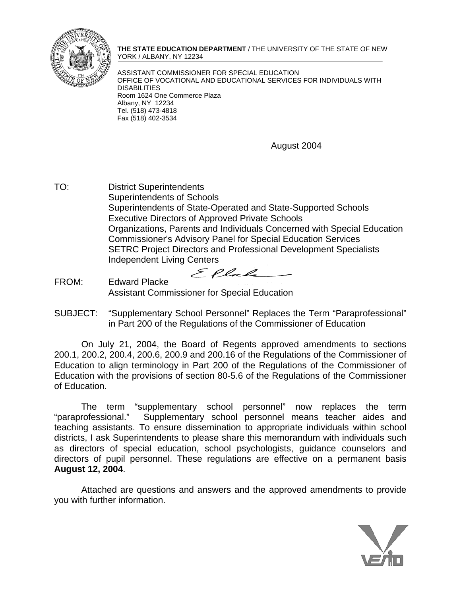

**THE STATE EDUCATION DEPARTMENT** / THE UNIVERSITY OF THE STATE OF NEW YORK / ALBANY, NY 12234

ASSISTANT COMMISSIONER FOR SPECIAL EDUCATION OFFICE OF VOCATIONAL AND EDUCATIONAL SERVICES FOR INDIVIDUALS WITH DISABILITIES Room 1624 One Commerce Plaza Albany, NY 12234 Tel. (518) 473-4818 Fax (518) 402-3534

August 2004

TO: District Superintendents Superintendents of Schools Superintendents of State-Operated and State-Supported Schools Executive Directors of Approved Private Schools Organizations, Parents and Individuals Concerned with Special Education Commissioner's Advisory Panel for Special Education Services SETRC Project Directors and Professional Development Specialists Independent Living Centers

Ellale

FROM: Edward Placke Assistant Commissioner for Special Education

SUBJECT: "Supplementary School Personnel" Replaces the Term "Paraprofessional" in Part 200 of the Regulations of the Commissioner of Education

On July 21, 2004, the Board of Regents approved amendments to sections 200.1, 200.2, 200.4, 200.6, 200.9 and 200.16 of the Regulations of the Commissioner of Education to align terminology in Part 200 of the Regulations of the Commissioner of Education with the provisions of section 80-5.6 of the Regulations of the Commissioner of Education.

The term "supplementary school personnel" now replaces the term "paraprofessional." Supplementary school personnel means teacher aides and teaching assistants. To ensure dissemination to appropriate individuals within school districts, I ask Superintendents to please share this memorandum with individuals such as directors of special education, school psychologists, guidance counselors and directors of pupil personnel. These regulations are effective on a permanent basis **August 12, 2004**.

Attached are questions and answers and the approved amendments to provide you with further information.

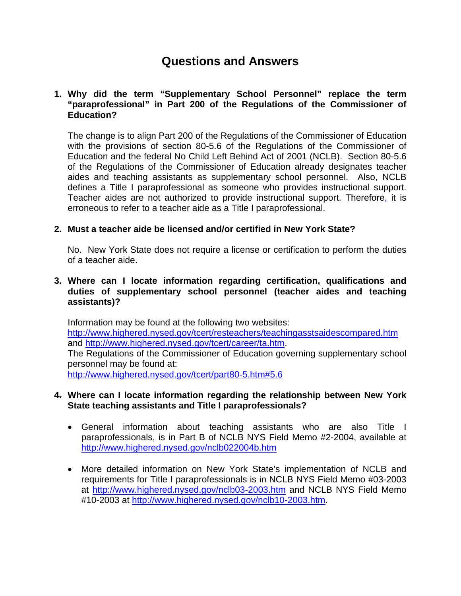# **Questions and Answers**

## **1. Why did the term "Supplementary School Personnel" replace the term "paraprofessional" in Part 200 of the Regulations of the Commissioner of Education?**

The change is to align Part 200 of the Regulations of the Commissioner of Education with the provisions of section 80-5.6 of the Regulations of the Commissioner of Education and the federal No Child Left Behind Act of 2001 (NCLB). Section 80-5.6 of the Regulations of the Commissioner of Education already designates teacher aides and teaching assistants as supplementary school personnel. Also, NCLB defines a Title I paraprofessional as someone who provides instructional support. Teacher aides are not authorized to provide instructional support. Therefore, it is erroneous to refer to a teacher aide as a Title I paraprofessional.

## **2. Must a teacher aide be licensed and/or certified in New York State?**

No. New York State does not require a license or certification to perform the duties of a teacher aide.

### **3. Where can I locate information regarding certification, qualifications and duties of supplementary school personnel (teacher aides and teaching assistants)?**

Information may be found at the following two websites: <http://www.highered.nysed.gov/tcert/resteachers/teachingasstsaidescompared.htm> and<http://www.highered.nysed.gov/tcert/career/ta.htm>. The Regulations of the Commissioner of Education governing supplementary school personnel may be found at: http://www.highered.nysed.gov/tcert/part80-5.htm#5.6

#### **4. Where can I locate information regarding the relationship between New York State teaching assistants and Title I paraprofessionals?**

- General information about teaching assistants who are also Title I paraprofessionals, is in Part B of NCLB NYS Field Memo #2-2004, available at <http://www.highered.nysed.gov/nclb022004b.htm>
- More detailed information on New York State's implementation of NCLB and requirements for Title I paraprofessionals is in NCLB NYS Field Memo #03-2003 at <http://www.highered.nysed.gov/nclb03-2003.htm>and NCLB NYS Field Memo #10-2003 at<http://www.highered.nysed.gov/nclb10-2003.htm>.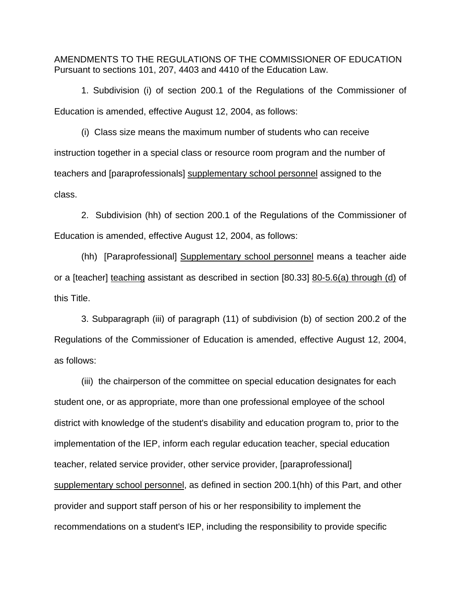AMENDMENTS TO THE REGULATIONS OF THE COMMISSIONER OF EDUCATION Pursuant to sections 101, 207, 4403 and 4410 of the Education Law.

1. Subdivision (i) of section 200.1 of the Regulations of the Commissioner of Education is amended, effective August 12, 2004, as follows:

(i) Class size means the maximum number of students who can receive instruction together in a special class or resource room program and the number of teachers and [paraprofessionals] supplementary school personnel assigned to the class.

2. Subdivision (hh) of section 200.1 of the Regulations of the Commissioner of Education is amended, effective August 12, 2004, as follows:

(hh) [Paraprofessional] Supplementary school personnel means a teacher aide or a [teacher] teaching assistant as described in section [80.33] 80-5.6(a) through (d) of this Title.

3. Subparagraph (iii) of paragraph (11) of subdivision (b) of section 200.2 of the Regulations of the Commissioner of Education is amended, effective August 12, 2004, as follows:

(iii) the chairperson of the committee on special education designates for each student one, or as appropriate, more than one professional employee of the school district with knowledge of the student's disability and education program to, prior to the implementation of the IEP, inform each regular education teacher, special education teacher, related service provider, other service provider, [paraprofessional] supplementary school personnel, as defined in section 200.1(hh) of this Part, and other provider and support staff person of his or her responsibility to implement the recommendations on a student's IEP, including the responsibility to provide specific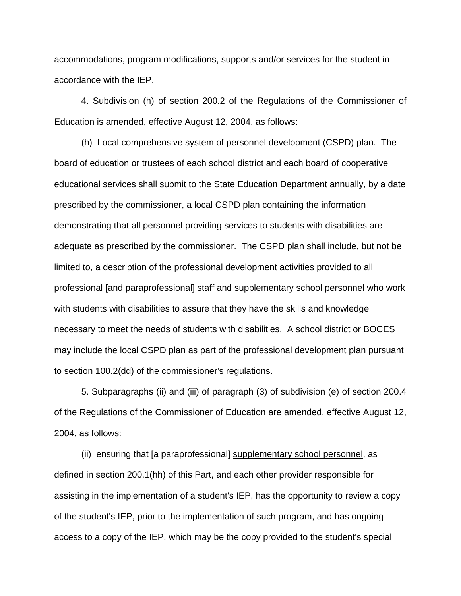accommodations, program modifications, supports and/or services for the student in accordance with the IEP.

4. Subdivision (h) of section 200.2 of the Regulations of the Commissioner of Education is amended, effective August 12, 2004, as follows:

(h) Local comprehensive system of personnel development (CSPD) plan. The board of education or trustees of each school district and each board of cooperative educational services shall submit to the State Education Department annually, by a date prescribed by the commissioner, a local CSPD plan containing the information demonstrating that all personnel providing services to students with disabilities are adequate as prescribed by the commissioner. The CSPD plan shall include, but not be limited to, a description of the professional development activities provided to all professional [and paraprofessional] staff and supplementary school personnel who work with students with disabilities to assure that they have the skills and knowledge necessary to meet the needs of students with disabilities. A school district or BOCES may include the local CSPD plan as part of the professional development plan pursuant to section 100.2(dd) of the commissioner's regulations.

5. Subparagraphs (ii) and (iii) of paragraph (3) of subdivision (e) of section 200.4 of the Regulations of the Commissioner of Education are amended, effective August 12, 2004, as follows:

(ii) ensuring that [a paraprofessional] supplementary school personnel, as defined in section 200.1(hh) of this Part, and each other provider responsible for assisting in the implementation of a student's IEP, has the opportunity to review a copy of the student's IEP, prior to the implementation of such program, and has ongoing access to a copy of the IEP, which may be the copy provided to the student's special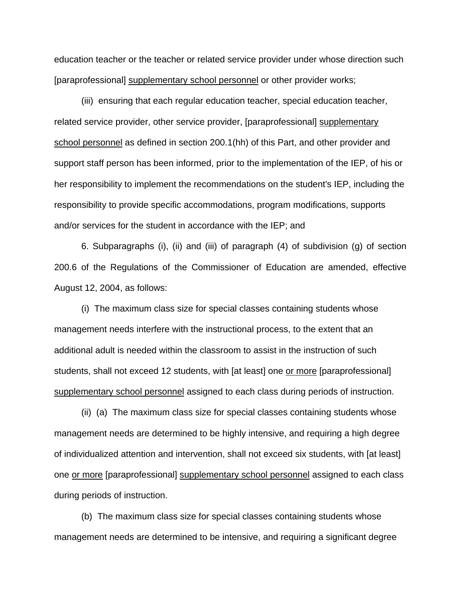education teacher or the teacher or related service provider under whose direction such [paraprofessional] supplementary school personnel or other provider works;

(iii) ensuring that each regular education teacher, special education teacher, related service provider, other service provider, [paraprofessional] supplementary school personnel as defined in section 200.1(hh) of this Part, and other provider and support staff person has been informed, prior to the implementation of the IEP, of his or her responsibility to implement the recommendations on the student's IEP, including the responsibility to provide specific accommodations, program modifications, supports and/or services for the student in accordance with the IEP; and

6. Subparagraphs (i), (ii) and (iii) of paragraph (4) of subdivision (g) of section 200.6 of the Regulations of the Commissioner of Education are amended, effective August 12, 2004, as follows:

(i) The maximum class size for special classes containing students whose management needs interfere with the instructional process, to the extent that an additional adult is needed within the classroom to assist in the instruction of such students, shall not exceed 12 students, with [at least] one or more [paraprofessional] supplementary school personnel assigned to each class during periods of instruction.

(ii) (a) The maximum class size for special classes containing students whose management needs are determined to be highly intensive, and requiring a high degree of individualized attention and intervention, shall not exceed six students, with [at least] one or more [paraprofessional] supplementary school personnel assigned to each class during periods of instruction.

(b) The maximum class size for special classes containing students whose management needs are determined to be intensive, and requiring a significant degree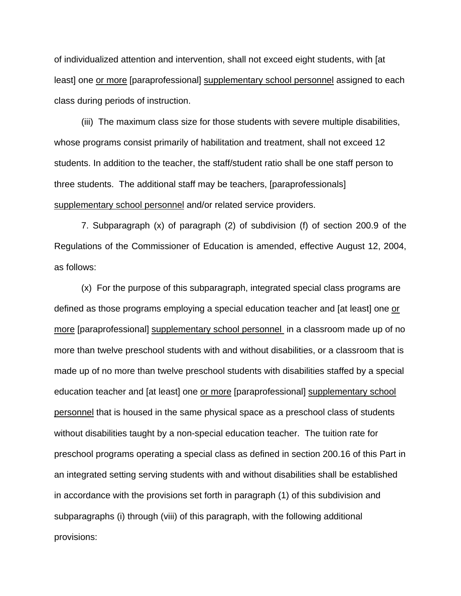of individualized attention and intervention, shall not exceed eight students, with [at least] one or more [paraprofessional] supplementary school personnel assigned to each class during periods of instruction.

(iii) The maximum class size for those students with severe multiple disabilities, whose programs consist primarily of habilitation and treatment, shall not exceed 12 students. In addition to the teacher, the staff/student ratio shall be one staff person to three students. The additional staff may be teachers, [paraprofessionals] supplementary school personnel and/or related service providers.

7. Subparagraph (x) of paragraph (2) of subdivision (f) of section 200.9 of the Regulations of the Commissioner of Education is amended, effective August 12, 2004, as follows:

(x) For the purpose of this subparagraph, integrated special class programs are defined as those programs employing a special education teacher and [at least] one or more [paraprofessional] supplementary school personnel in a classroom made up of no more than twelve preschool students with and without disabilities, or a classroom that is made up of no more than twelve preschool students with disabilities staffed by a special education teacher and [at least] one or more [paraprofessional] supplementary school personnel that is housed in the same physical space as a preschool class of students without disabilities taught by a non-special education teacher. The tuition rate for preschool programs operating a special class as defined in section 200.16 of this Part in an integrated setting serving students with and without disabilities shall be established in accordance with the provisions set forth in paragraph (1) of this subdivision and subparagraphs (i) through (viii) of this paragraph, with the following additional provisions: